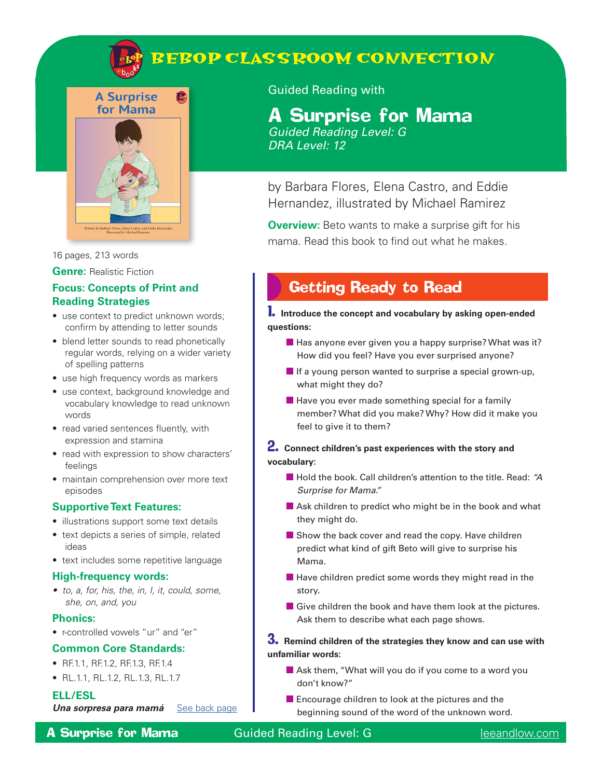

# **BEBOP CLASSROOM CONNECTION**



**A** 



16 pages, 213 words

**Genre:** Realistic Fiction

### **Focus: Concepts of Print and Reading Strategies**

- use context to predict unknown words; confirm by attending to letter sounds
- blend letter sounds to read phonetically regular words, relying on a wider variety of spelling patterns
- use high frequency words as markers
- use context, background knowledge and vocabulary knowledge to read unknown words
- read varied sentences fluently, with expression and stamina
- read with expression to show characters' feelings
- maintain comprehension over more text episodes

#### **Supportive Text Features:**

- illustrations support some text details
- text depicts a series of simple, related ideas
- text includes some repetitive language

#### **High-frequency words:**

*• to, a, for, his, the, in, I, it, could, some, she, on, and, you* 

#### **Phonics:**

• r-controlled vowels "ur" and "er"

#### **Common Core Standards:**

- RF.1.1, RF.1.2, RF.1.3, RF.1.4
- RL.1.1, RL.1.2, RL.1.3, RL.1.7

#### **ELL/ESL**

*Una sorpresa para mamá* [See back page](#page-3-0)

A Surprise for Mama Guided Reading Level: G [leeandlow.com](http://leeandlow.com)

### Guided Reading with

## A Surprise for Mama

*Guided Reading Level: G DRA Level: 12*

by Barbara Flores, Elena Castro, and Eddie Hernandez, illustrated by Michael Ramirez

**Overview:** Beto wants to make a surprise gift for his mama. Read this book to find out what he makes.

## Getting Ready to Read

1. **Introduce the concept and vocabulary by asking open-ended questions:**

- $\blacksquare$  Has anyone ever given you a happy surprise? What was it? How did you feel? Have you ever surprised anyone?
- If a young person wanted to surprise a special grown-up, what might they do?
- Have you ever made something special for a family member? What did you make? Why? How did it make you feel to give it to them?

#### 2. **Connect children's past experiences with the story and vocabulary:**

- Hold the book. Call children's attention to the title. Read: "A *Surprise for Mama."*
- Ask children to predict who might be in the book and what they might do.
- Show the back cover and read the copy. Have children predict what kind of gift Beto will give to surprise his Mama.
- Have children predict some words they might read in the story.
- $\blacksquare$  Give children the book and have them look at the pictures. Ask them to describe what each page shows.

### 3. **Remind children of the strategies they know and can use with unfamiliar words:**

- Ask them, "What will you do if you come to a word you don't know?"
- Encourage children to look at the pictures and the beginning sound of the word of the unknown word.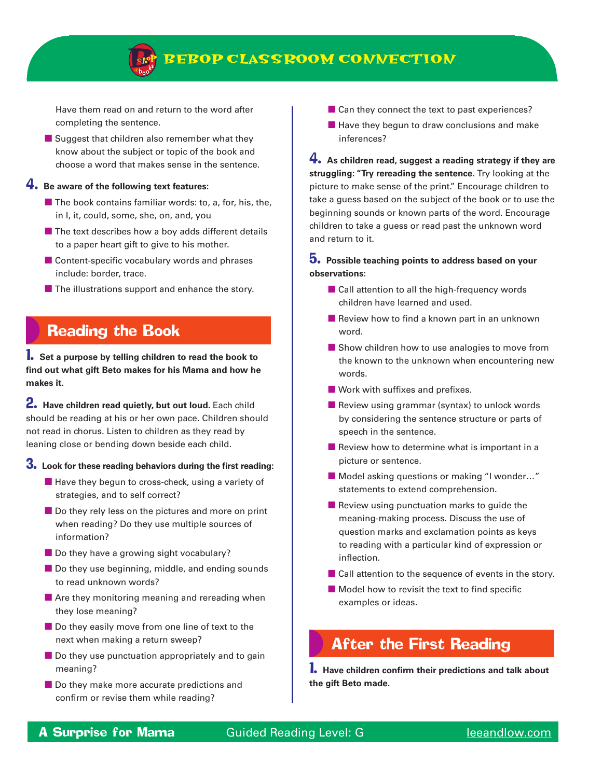

### **BEBOP CLASSROOM CONNECTION**

Have them read on and return to the word after completing the sentence.

■ Suggest that children also remember what they know about the subject or topic of the book and choose a word that makes sense in the sentence.

#### 4. **Be aware of the following text features:**

- $\blacksquare$  The book contains familiar words: to, a, for, his, the, in I, it, could, some, she, on, and, you
- $\blacksquare$  The text describes how a boy adds different details to a paper heart gift to give to his mother.
- Content-specific vocabulary words and phrases include: border, trace.
- The illustrations support and enhance the story.

## Reading the Book

1. **Set a purpose by telling children to read the book to find out what gift Beto makes for his Mama and how he makes it.** 

2. Have children read quietly, but out loud. Each child should be reading at his or her own pace. Children should not read in chorus. Listen to children as they read by leaning close or bending down beside each child.

### 3. **Look for these reading behaviors during the first reading:**

- Have they begun to cross-check, using a variety of strategies, and to self correct?
- Do they rely less on the pictures and more on print when reading? Do they use multiple sources of information?
- Do they have a growing sight vocabulary?
- Do they use beginning, middle, and ending sounds to read unknown words?
- Are they monitoring meaning and rereading when they lose meaning?
- Do they easily move from one line of text to the next when making a return sweep?
- Do they use punctuation appropriately and to gain meaning?
- Do they make more accurate predictions and confirm or revise them while reading?
- Can they connect the text to past experiences?
- Have they begun to draw conclusions and make inferences?

4. **As children read, suggest a reading strategy if they are struggling: "Try rereading the sentence.** Try looking at the picture to make sense of the print." Encourage children to take a guess based on the subject of the book or to use the beginning sounds or known parts of the word. Encourage children to take a guess or read past the unknown word and return to it.

### 5. **Possible teaching points to address based on your observations:**

- Call attention to all the high-frequency words children have learned and used.
- Review how to find a known part in an unknown word.
- Show children how to use analogies to move from the known to the unknown when encountering new words.
- Work with suffixes and prefixes.
- Review using grammar (syntax) to unlock words by considering the sentence structure or parts of speech in the sentence.
- Review how to determine what is important in a picture or sentence.
- Model asking questions or making "I wonder..." statements to extend comprehension.
- Review using punctuation marks to quide the meaning-making process. Discuss the use of question marks and exclamation points as keys to reading with a particular kind of expression or inflection.
- Call attention to the sequence of events in the story.
- Model how to revisit the text to find specific examples or ideas.

### After the First Reading

1. **Have children confirm their predictions and talk about the gift Beto made.**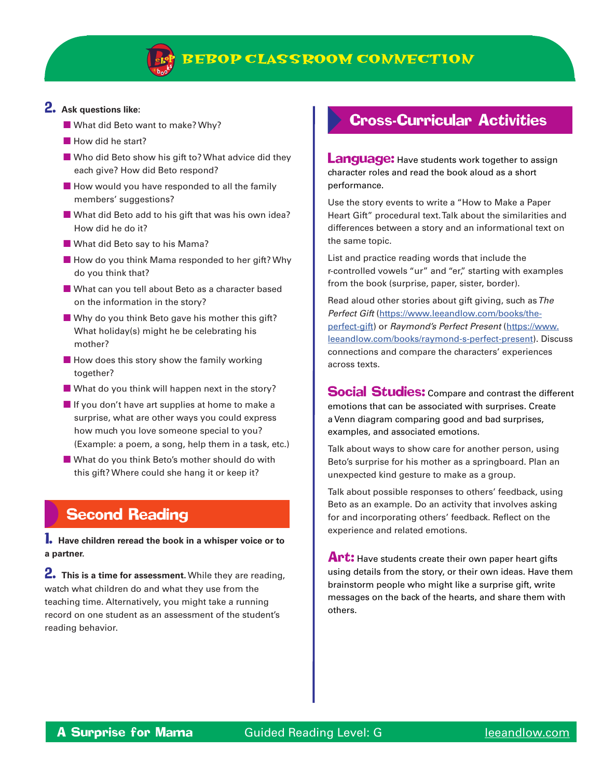

#### 2. **Ask questions like:**

- What did Beto want to make? Why?
- How did he start?
- Who did Beto show his gift to? What advice did they each give? How did Beto respond?
- How would you have responded to all the family members' suggestions?
- What did Beto add to his gift that was his own idea? How did he do it?
- What did Beto say to his Mama?
- How do you think Mama responded to her gift? Why do you think that?
- What can you tell about Beto as a character based on the information in the story?
- Why do you think Beto gave his mother this gift? What holiday(s) might he be celebrating his mother?
- $\blacksquare$  How does this story show the family working together?
- $\blacksquare$  What do you think will happen next in the story?
- If you don't have art supplies at home to make a surprise, what are other ways you could express how much you love someone special to you? (Example: a poem, a song, help them in a task, etc.)
- What do you think Beto's mother should do with this gift? Where could she hang it or keep it?

## Second Reading

1. **Have children reread the book in a whisper voice or to a partner.**

2. **This is a time for assessment.** While they are reading, watch what children do and what they use from the teaching time. Alternatively, you might take a running record on one student as an assessment of the student's reading behavior.

## Cross-Curricular Activities

**Language:** Have students work together to assign character roles and read the book aloud as a short performance.

Use the story events to write a "How to Make a Paper Heart Gift" procedural text. Talk about the similarities and differences between a story and an informational text on the same topic.

List and practice reading words that include the r-controlled vowels "ur" and "er," starting with examples from the book (surprise, paper, sister, border).

Read aloud other stories about gift giving, such as *The Perfect Gift* [\(https://www.leeandlow.com/books/the](https://www.leeandlow.com/books/the-perfect-gift)[perfect-gift\)](https://www.leeandlow.com/books/the-perfect-gift) or *Raymond's Perfect Present* [\(https://www.](https://www.leeandlow.com/books/raymond-s-perfect-present) [leeandlow.com/books/raymond-s-perfect-present](https://www.leeandlow.com/books/raymond-s-perfect-present)). Discuss connections and compare the characters' experiences across texts.

**Social Studies:** Compare and contrast the different emotions that can be associated with surprises. Create a Venn diagram comparing good and bad surprises, examples, and associated emotions.

Talk about ways to show care for another person, using Beto's surprise for his mother as a springboard. Plan an unexpected kind gesture to make as a group.

Talk about possible responses to others' feedback, using Beto as an example. Do an activity that involves asking for and incorporating others' feedback. Reflect on the experience and related emotions.

Art: Have students create their own paper heart gifts using details from the story, or their own ideas. Have them brainstorm people who might like a surprise gift, write messages on the back of the hearts, and share them with others.